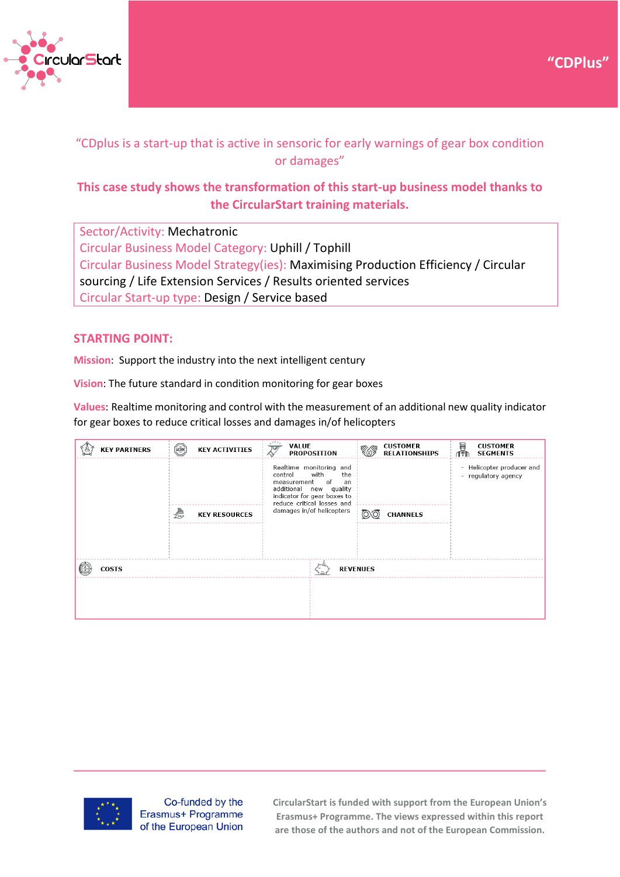



# "CDplus is a start-up that is active in sensoric for early warnings of gear box condition or damages"

## **This case study shows the transformation of this start-up business model thanks to the CircularStart training materials.**

Sector/Activity: Mechatronic Circular Business Model Category: Uphill / Tophill Circular Business Model Strategy(ies): Maximising Production Efficiency / Circular sourcing / Life Extension Services / Results oriented services Circular Start-up type: Design / Service based

## **STARTING POINT:**

**Mission**: Support the industry into the next intelligent century

**Vision**: The future standard in condition monitoring for gear boxes

**Values**: Realtime monitoring and control with the measurement of an additional new quality indicator for gear boxes to reduce critical losses and damages in/of helicopters

|                                 | <b>KEY PARTNERS</b> | HORK | <b>KEY ACTIVITIES</b> | <b>VALUE</b><br>प्र<br><b>PROPOSITION</b>                                                                                                                           |                 | <b>CUSTOMER</b><br><b>RELATIONSHIPS</b> | 圝<br>ብ₹™                                         | <b>CUSTOMER</b><br><b>SEGMENTS</b> |
|---------------------------------|---------------------|------|-----------------------|---------------------------------------------------------------------------------------------------------------------------------------------------------------------|-----------------|-----------------------------------------|--------------------------------------------------|------------------------------------|
|                                 |                     |      |                       | Realtime monitoring and<br>with<br>the<br>control<br>of<br>measurement<br>an<br>additional new quality<br>indicator for gear boxes to<br>reduce critical losses and |                 |                                         | - Helicopter producer and<br>- regulatory agency |                                    |
|                                 |                     | €    | <b>KEY RESOURCES</b>  | damages in/of helicopters                                                                                                                                           | <b>CHANNELS</b> |                                         |                                                  |                                    |
|                                 |                     |      |                       |                                                                                                                                                                     |                 |                                         |                                                  |                                    |
|                                 |                     |      |                       |                                                                                                                                                                     |                 |                                         |                                                  |                                    |
| <b>COSTS</b><br><b>REVENUES</b> |                     |      |                       |                                                                                                                                                                     |                 |                                         |                                                  |                                    |
|                                 |                     |      |                       |                                                                                                                                                                     |                 |                                         |                                                  |                                    |
|                                 |                     |      |                       |                                                                                                                                                                     |                 |                                         |                                                  |                                    |



Co-funded by the Erasmus+ Programme of the European Union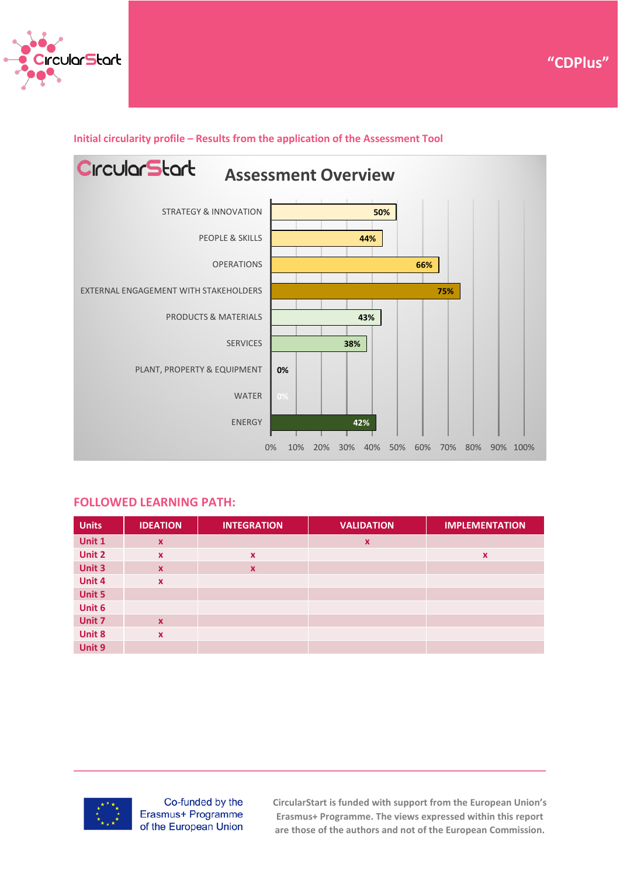



#### **Initial circularity profile – Results from the application of the Assessment Tool**

#### **FOLLOWED LEARNING PATH:**

| <b>Units</b> | <b>IDEATION</b> | <b>INTEGRATION</b>        | <b>VALIDATION</b>         | <b>IMPLEMENTATION</b>     |
|--------------|-----------------|---------------------------|---------------------------|---------------------------|
| Unit 1       | $\mathbf{x}$    |                           | $\boldsymbol{\mathsf{x}}$ |                           |
| Unit 2       | $\mathbf{x}$    | $\boldsymbol{\mathsf{x}}$ |                           | $\boldsymbol{\mathsf{x}}$ |
| Unit 3       | $\mathbf{x}$    | $\boldsymbol{\mathsf{x}}$ |                           |                           |
| Unit 4       | $\mathbf x$     |                           |                           |                           |
| Unit 5       |                 |                           |                           |                           |
| Unit 6       |                 |                           |                           |                           |
| Unit 7       | $\mathbf{x}$    |                           |                           |                           |
| Unit 8       | $\mathbf x$     |                           |                           |                           |
| Unit 9       |                 |                           |                           |                           |



Co-funded by the Erasmus+ Programme of the European Union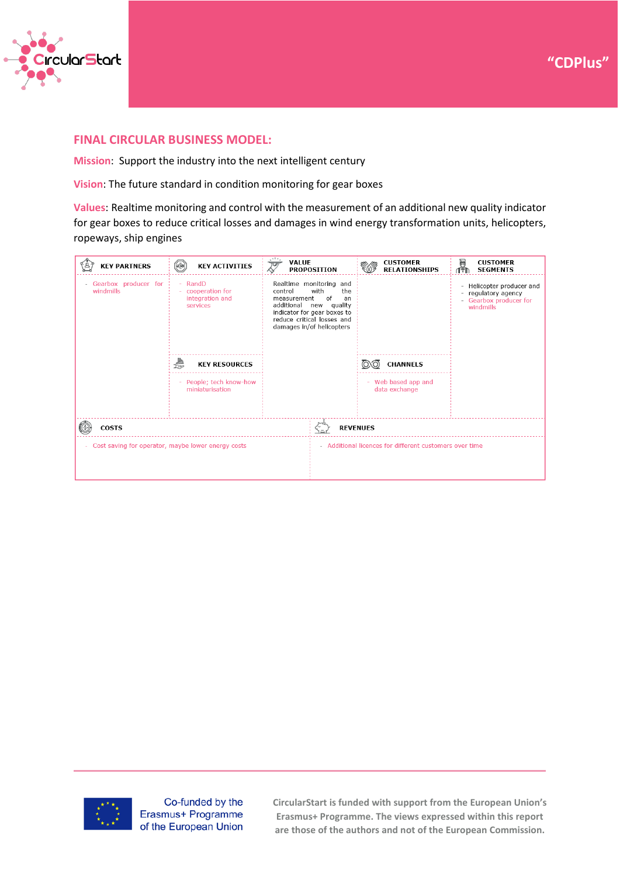



### **FINAL CIRCULAR BUSINESS MODEL:**

**Mission**: Support the industry into the next intelligent century

**Vision**: The future standard in condition monitoring for gear boxes

**Values**: Realtime monitoring and control with the measurement of an additional new quality indicator for gear boxes to reduce critical losses and damages in wind energy transformation units, helicopters, ropeways, ship engines

| <b>KEY PARTNERS</b>                                          | <b>ADRY</b><br><b>KEY ACTIVITIES</b>                      | <b>VALUE</b><br>بحار                                                                                                                                                                             | <b>PROPOSITION</b> |                                          | <b>CUSTOMER</b><br><b>RELATIONSHIPS</b> | in<br>195                                                                                                            | <b>CUSTOMER</b><br><b>SEGMENTS</b> |
|--------------------------------------------------------------|-----------------------------------------------------------|--------------------------------------------------------------------------------------------------------------------------------------------------------------------------------------------------|--------------------|------------------------------------------|-----------------------------------------|----------------------------------------------------------------------------------------------------------------------|------------------------------------|
| - Gearbox producer for<br>windmills                          | - RandD<br>cooperation for<br>integration and<br>services | Realtime monitoring and<br>with<br>control<br>the<br>of<br>measurement<br>an<br>additional new quality<br>indicator for gear boxes to<br>reduce critical losses and<br>damages in/of helicopters |                    | <b>CHANNELS</b>                          |                                         | Helicopter producer and<br>$\overline{\phantom{0}}$<br>regulatory agency<br>-<br>- Gearbox producer for<br>windmills |                                    |
|                                                              | ₩<br><b>KEY RESOURCES</b>                                 |                                                                                                                                                                                                  |                    |                                          |                                         |                                                                                                                      |                                    |
|                                                              | - People; tech know-how<br>miniaturisation                |                                                                                                                                                                                                  |                    | Web based app and<br>۰.<br>data exchange |                                         |                                                                                                                      |                                    |
| <b>COSTS</b>                                                 | <b>REVENUES</b>                                           |                                                                                                                                                                                                  |                    |                                          |                                         |                                                                                                                      |                                    |
| Cost saving for operator, maybe lower energy costs<br>$\sim$ | - Additional licences for different customers over time   |                                                                                                                                                                                                  |                    |                                          |                                         |                                                                                                                      |                                    |
|                                                              |                                                           |                                                                                                                                                                                                  |                    |                                          |                                         |                                                                                                                      |                                    |



Co-funded by the Erasmus+ Programme of the European Union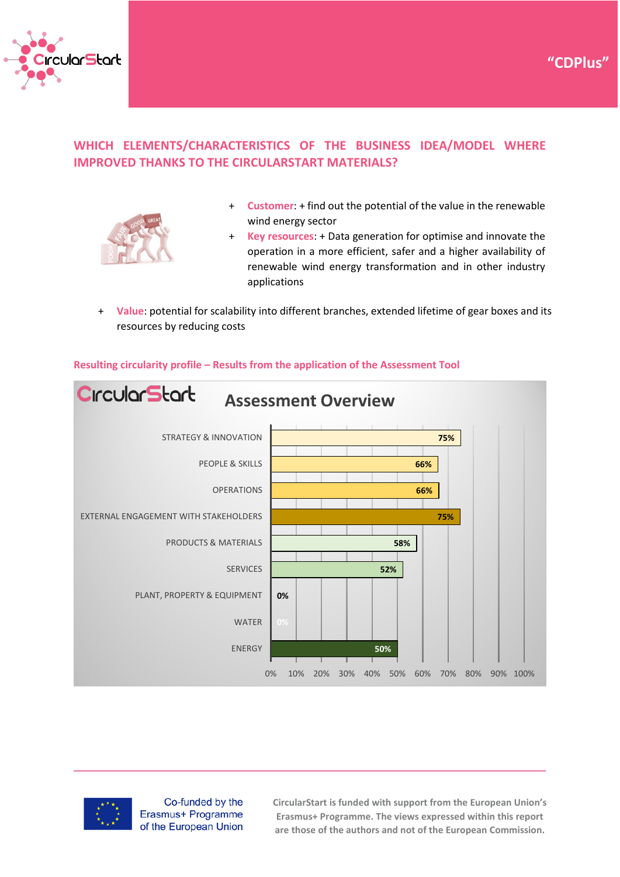

## **WHICH ELEMENTS/CHARACTERISTICS OF THE BUSINESS IDEA/MODEL WHERE IMPROVED THANKS TO THE CIRCULARSTART MATERIALS?**



+ **Customer**: + find out the potential of the value in the renewable wind energy sector

**"CDPlus"**

- + **Key resources**: + Data generation for optimise and innovate the operation in a more efficient, safer and a higher availability of renewable wind energy transformation and in other industry applications
- + **Value**: potential for scalability into different branches, extended lifetime of gear boxes and its resources by reducing costs



#### **Resulting circularity profile – Results from the application of the Assessment Tool**



Co-funded by the Erasmus+ Programme of the European Union